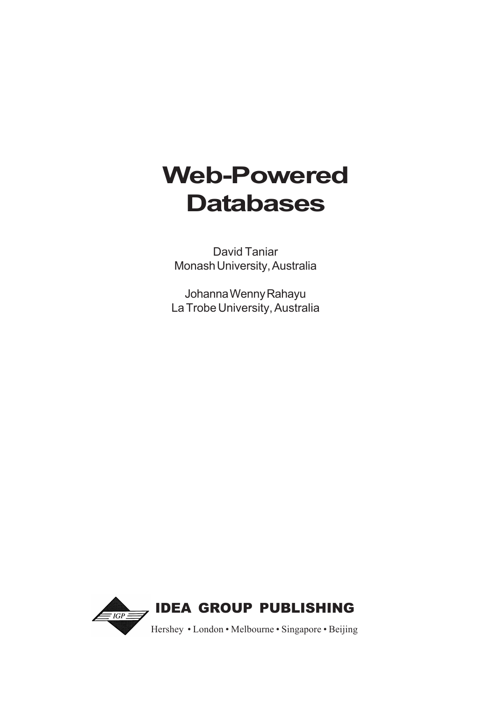# **Web-Powered Databases**

David Taniar Monash University, Australia

Johanna Wenny Rahayu La Trobe University, Australia

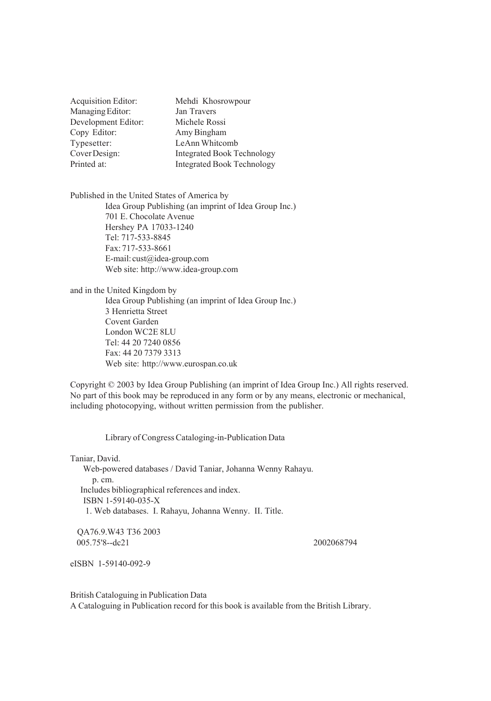| <b>Acquisition Editor:</b> | Mehdi Khosrowpour                 |
|----------------------------|-----------------------------------|
| Managing Editor:           | Jan Travers                       |
| Development Editor:        | Michele Rossi                     |
| Copy Editor:               | Amy Bingham                       |
| Typesetter:                | LeAnn Whitcomb                    |
| Cover Design:              | <b>Integrated Book Technology</b> |
| Printed at:                | <b>Integrated Book Technology</b> |

Published in the United States of America by Idea Group Publishing (an imprint of Idea Group Inc.) 701 E. Chocolate Avenue Hershey PA 17033-1240 Tel: 717-533-8845 Fax: 717-533-8661 E-mail: cust@idea-group.com Web site: http://www.idea-group.com

and in the United Kingdom by

Idea Group Publishing (an imprint of Idea Group Inc.) 3 Henrietta Street Covent Garden London WC2E 8LU Tel: 44 20 7240 0856 Fax: 44 20 7379 3313 Web site: http://www.eurospan.co.uk

Copyright © 2003 by Idea Group Publishing (an imprint of Idea Group Inc.) All rights reserved. No part of this book may be reproduced in any form or by any means, electronic or mechanical, including photocopying, without written permission from the publisher.

Library of Congress Cataloging-in-Publication Data

Taniar, David. Web-powered databases / David Taniar, Johanna Wenny Rahayu. p. cm. Includes bibliographical references and index. ISBN 1-59140-035-X 1. Web databases. I. Rahayu, Johanna Wenny. II. Title.

 QA76.9.W43 T36 2003 005.75'8--dc21 2002068794

eISBN 1-59140-092-9

British Cataloguing in Publication Data A Cataloguing in Publication record for this book is available from the British Library.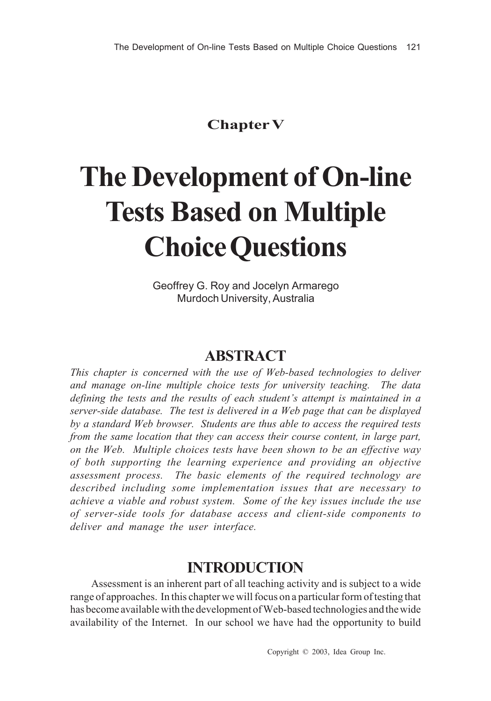## **Chapter V**

# **The Development of On-line Tests Based on Multiple Choice Questions**

Geoffrey G. Roy and Jocelyn Armarego Murdoch University, Australia

# **ABSTRACT**

*This chapter is concerned with the use of Web-based technologies to deliver and manage on-line multiple choice tests for university teaching. The data defining the tests and the results of each student's attempt is maintained in a server-side database. The test is delivered in a Web page that can be displayed by a standard Web browser. Students are thus able to access the required tests from the same location that they can access their course content, in large part, on the Web. Multiple choices tests have been shown to be an effective way of both supporting the learning experience and providing an objective assessment process. The basic elements of the required technology are described including some implementation issues that are necessary to achieve a viable and robust system. Some of the key issues include the use of server-side tools for database access and client-side components to deliver and manage the user interface.*

# **INTRODUCTION**

Assessment is an inherent part of all teaching activity and is subject to a wide range of approaches. In this chapter we will focus on a particular form of testing that has become available with the development of Web-based technologies and the wide availability of the Internet. In our school we have had the opportunity to build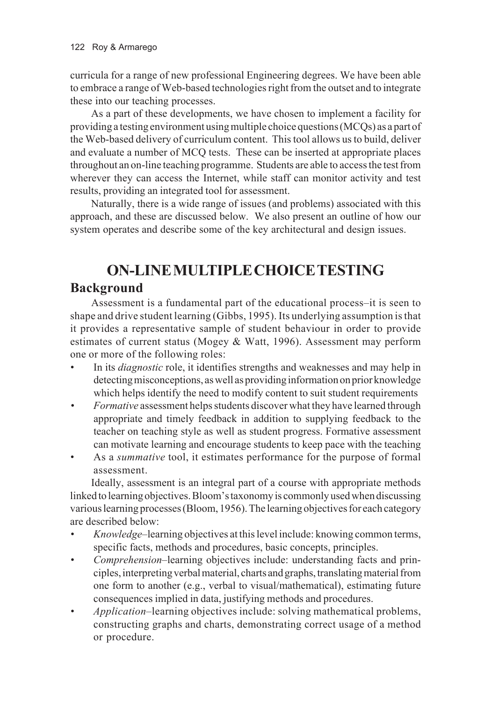curricula for a range of new professional Engineering degrees. We have been able to embrace a range of Web-based technologies right from the outset and to integrate these into our teaching processes.

As a part of these developments, we have chosen to implement a facility for providing a testing environment using multiple choice questions (MCQs) as a part of the Web-based delivery of curriculum content. This tool allows us to build, deliver and evaluate a number of MCQ tests. These can be inserted at appropriate places throughout an on-line teaching programme. Students are able to access the test from wherever they can access the Internet, while staff can monitor activity and test results, providing an integrated tool for assessment.

Naturally, there is a wide range of issues (and problems) associated with this approach, and these are discussed below. We also present an outline of how our system operates and describe some of the key architectural and design issues.

# **ON-LINE MULTIPLE CHOICE TESTING Background**

Assessment is a fundamental part of the educational process–it is seen to shape and drive student learning (Gibbs, 1995). Its underlying assumption is that it provides a representative sample of student behaviour in order to provide estimates of current status (Mogey & Watt, 1996). Assessment may perform one or more of the following roles:

- In its *diagnostic* role, it identifies strengths and weaknesses and may help in detecting misconceptions, as well as providing information on prior knowledge which helps identify the need to modify content to suit student requirements
- *Formative* assessment helps students discover what they have learned through appropriate and timely feedback in addition to supplying feedback to the teacher on teaching style as well as student progress. Formative assessment can motivate learning and encourage students to keep pace with the teaching
- As a *summative* tool, it estimates performance for the purpose of formal assessment.

Ideally, assessment is an integral part of a course with appropriate methods linked to learning objectives. Bloom's taxonomy is commonly used when discussing various learning processes (Bloom, 1956). The learning objectives for each category are described below:

- *Knowledge*–learning objectives at this level include: knowing common terms, specific facts, methods and procedures, basic concepts, principles.
- *Comprehension*–learning objectives include: understanding facts and principles, interpreting verbal material, charts and graphs, translating material from one form to another (e.g., verbal to visual/mathematical), estimating future consequences implied in data, justifying methods and procedures.
- *Application*–learning objectives include: solving mathematical problems, constructing graphs and charts, demonstrating correct usage of a method or procedure.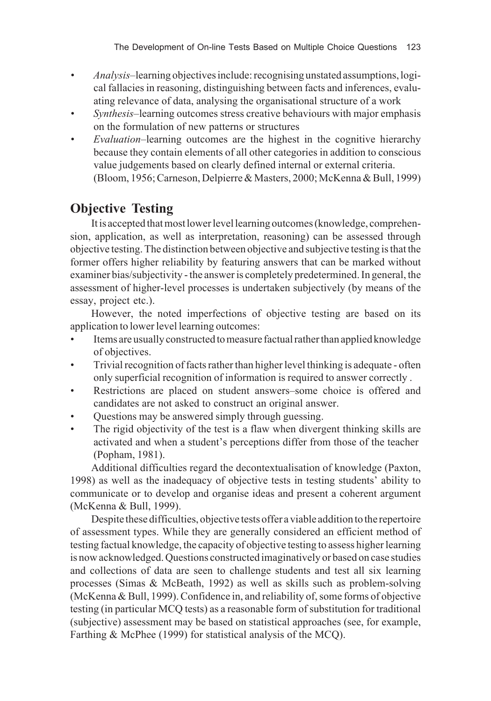- *Analysis*–learning objectives include: recognising unstated assumptions, logical fallacies in reasoning, distinguishing between facts and inferences, evaluating relevance of data, analysing the organisational structure of a work
- *Synthesis*–learning outcomes stress creative behaviours with major emphasis on the formulation of new patterns or structures
- *Evaluation*–learning outcomes are the highest in the cognitive hierarchy because they contain elements of all other categories in addition to conscious value judgements based on clearly defined internal or external criteria. (Bloom, 1956; Carneson, Delpierre & Masters, 2000; McKenna & Bull, 1999)

# **Objective Testing**

It is accepted that most lower level learning outcomes (knowledge, comprehension, application, as well as interpretation, reasoning) can be assessed through objective testing. The distinction between objective and subjective testing is that the former offers higher reliability by featuring answers that can be marked without examiner bias/subjectivity - the answer is completely predetermined. In general, the assessment of higher-level processes is undertaken subjectively (by means of the essay, project etc.).

However, the noted imperfections of objective testing are based on its application to lower level learning outcomes:

- Items are usually constructed to measure factual rather than applied knowledge of objectives.
- Trivial recognition of facts rather than higher level thinking is adequate often only superficial recognition of information is required to answer correctly .
- Restrictions are placed on student answers–some choice is offered and candidates are not asked to construct an original answer.
- Questions may be answered simply through guessing.
- The rigid objectivity of the test is a flaw when divergent thinking skills are activated and when a student's perceptions differ from those of the teacher (Popham, 1981).

Additional difficulties regard the decontextualisation of knowledge (Paxton, 1998) as well as the inadequacy of objective tests in testing students' ability to communicate or to develop and organise ideas and present a coherent argument (McKenna & Bull, 1999).

Despite these difficulties, objective tests offer a viable addition to the repertoire of assessment types. While they are generally considered an efficient method of testing factual knowledge, the capacity of objective testing to assess higher learning is now acknowledged. Questions constructed imaginatively or based on case studies and collections of data are seen to challenge students and test all six learning processes (Simas & McBeath, 1992) as well as skills such as problem-solving (McKenna & Bull, 1999). Confidence in, and reliability of, some forms of objective testing (in particular MCQ tests) as a reasonable form of substitution for traditional (subjective) assessment may be based on statistical approaches (see, for example, Farthing & McPhee (1999) for statistical analysis of the MCQ).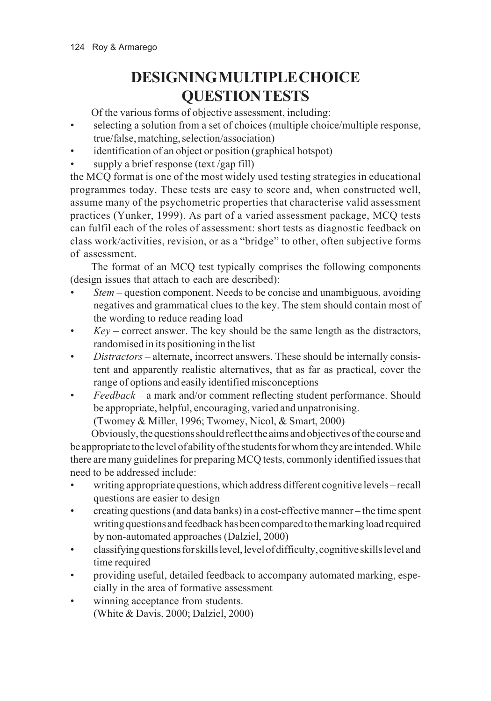# **DESIGNING MULTIPLE CHOICE QUESTION TESTS**

Of the various forms of objective assessment, including:

- selecting a solution from a set of choices (multiple choice/multiple response, true/false, matching, selection/association)
- identification of an object or position (graphical hotspot)
- supply a brief response (text /gap fill)

the MCQ format is one of the most widely used testing strategies in educational programmes today. These tests are easy to score and, when constructed well, assume many of the psychometric properties that characterise valid assessment practices (Yunker, 1999). As part of a varied assessment package, MCQ tests can fulfil each of the roles of assessment: short tests as diagnostic feedback on class work/activities, revision, or as a "bridge" to other, often subjective forms of assessment.

The format of an MCQ test typically comprises the following components (design issues that attach to each are described):

- *Stem* question component. Needs to be concise and unambiguous, avoiding negatives and grammatical clues to the key. The stem should contain most of the wording to reduce reading load
- *Key* correct answer. The key should be the same length as the distractors, randomised in its positioning in the list
- *Distractors* alternate, incorrect answers. These should be internally consistent and apparently realistic alternatives, that as far as practical, cover the range of options and easily identified misconceptions
- *Feedback* a mark and/or comment reflecting student performance. Should be appropriate, helpful, encouraging, varied and unpatronising. (Twomey & Miller, 1996; Twomey, Nicol, & Smart, 2000)

Obviously, the questions should reflect the aims and objectives of the course and be appropriate to the level of ability of the students for whom they are intended. While there are many guidelines for preparing MCQ tests, commonly identified issues that need to be addressed include:

- writing appropriate questions, which address different cognitive levels recall questions are easier to design
- creating questions (and data banks) in a cost-effective manner the time spent writing questions and feedback has been compared to the marking load required by non-automated approaches (Dalziel, 2000)
- classifying questions for skills level, level of difficulty, cognitive skills level and time required
- providing useful, detailed feedback to accompany automated marking, especially in the area of formative assessment
- winning acceptance from students. (White & Davis, 2000; Dalziel, 2000)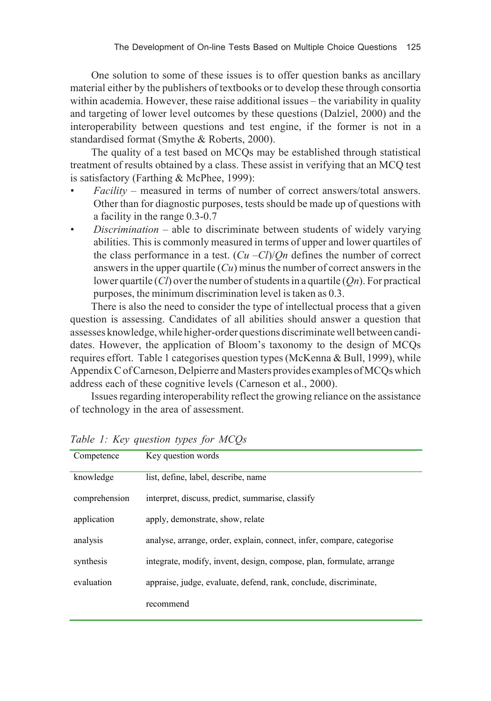One solution to some of these issues is to offer question banks as ancillary material either by the publishers of textbooks or to develop these through consortia within academia. However, these raise additional issues – the variability in quality and targeting of lower level outcomes by these questions (Dalziel, 2000) and the interoperability between questions and test engine, if the former is not in a standardised format (Smythe & Roberts, 2000).

The quality of a test based on MCQs may be established through statistical treatment of results obtained by a class. These assist in verifying that an MCQ test is satisfactory (Farthing & McPhee, 1999):

- *Facility* measured in terms of number of correct answers/total answers. Other than for diagnostic purposes, tests should be made up of questions with a facility in the range 0.3-0.7
- *Discrimination*  able to discriminate between students of widely varying abilities. This is commonly measured in terms of upper and lower quartiles of the class performance in a test.  $(Cu - Cl)/Qn$  defines the number of correct answers in the upper quartile (*Cu*) minus the number of correct answers in the lower quartile (*Cl*) over the number of students in a quartile (*Qn*). For practical purposes, the minimum discrimination level is taken as 0.3.

There is also the need to consider the type of intellectual process that a given question is assessing. Candidates of all abilities should answer a question that assesses knowledge, while higher-order questions discriminate well between candidates. However, the application of Bloom's taxonomy to the design of MCQs requires effort. Table 1 categorises question types (McKenna & Bull, 1999), while Appendix C of Carneson, Delpierre and Masters provides examples of MCQs which address each of these cognitive levels (Carneson et al., 2000).

Issues regarding interoperability reflect the growing reliance on the assistance of technology in the area of assessment.

| Competence    | Key question words                                                    |
|---------------|-----------------------------------------------------------------------|
| knowledge     | list, define, label, describe, name                                   |
| comprehension | interpret, discuss, predict, summarise, classify                      |
| application   | apply, demonstrate, show, relate                                      |
| analysis      | analyse, arrange, order, explain, connect, infer, compare, categorise |
| synthesis     | integrate, modify, invent, design, compose, plan, formulate, arrange  |
| evaluation    | appraise, judge, evaluate, defend, rank, conclude, discriminate,      |
|               | recommend                                                             |

*Table 1: Key question types for MCQs*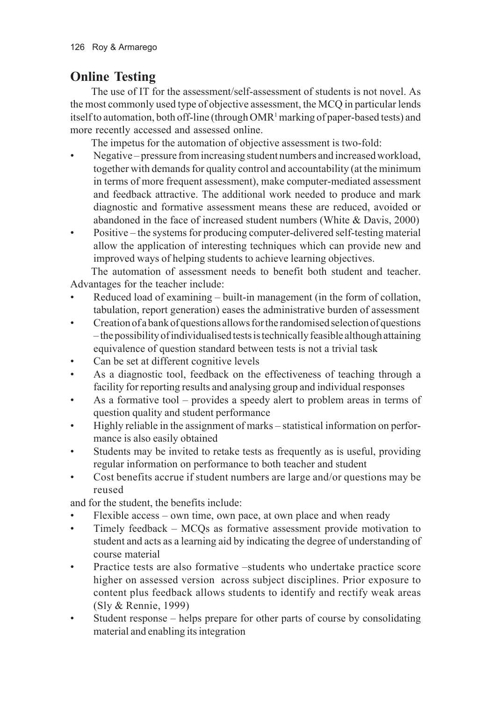# **Online Testing**

The use of IT for the assessment/self-assessment of students is not novel. As the most commonly used type of objective assessment, the MCQ in particular lends itself to automation, both off-line (through OMR<sup>1</sup> marking of paper-based tests) and more recently accessed and assessed online.

The impetus for the automation of objective assessment is two-fold:

- Negative pressure from increasing student numbers and increased workload, together with demands for quality control and accountability (at the minimum in terms of more frequent assessment), make computer-mediated assessment and feedback attractive. The additional work needed to produce and mark diagnostic and formative assessment means these are reduced, avoided or abandoned in the face of increased student numbers (White & Davis, 2000)
- Positive the systems for producing computer-delivered self-testing material allow the application of interesting techniques which can provide new and improved ways of helping students to achieve learning objectives.

The automation of assessment needs to benefit both student and teacher. Advantages for the teacher include:

- Reduced load of examining built-in management (in the form of collation, tabulation, report generation) eases the administrative burden of assessment
- Creation of a bank of questions allows for the randomised selection of questions – the possibility of individualised tests is technically feasible although attaining equivalence of question standard between tests is not a trivial task
- Can be set at different cognitive levels
- As a diagnostic tool, feedback on the effectiveness of teaching through a facility for reporting results and analysing group and individual responses
- As a formative tool provides a speedy alert to problem areas in terms of question quality and student performance
- Highly reliable in the assignment of marks statistical information on performance is also easily obtained
- Students may be invited to retake tests as frequently as is useful, providing regular information on performance to both teacher and student
- Cost benefits accrue if student numbers are large and/or questions may be reused

and for the student, the benefits include:

- Flexible access own time, own pace, at own place and when ready
- Timely feedback MCQs as formative assessment provide motivation to student and acts as a learning aid by indicating the degree of understanding of course material
- Practice tests are also formative –students who undertake practice score higher on assessed version across subject disciplines. Prior exposure to content plus feedback allows students to identify and rectify weak areas (Sly & Rennie, 1999)
- Student response helps prepare for other parts of course by consolidating material and enabling its integration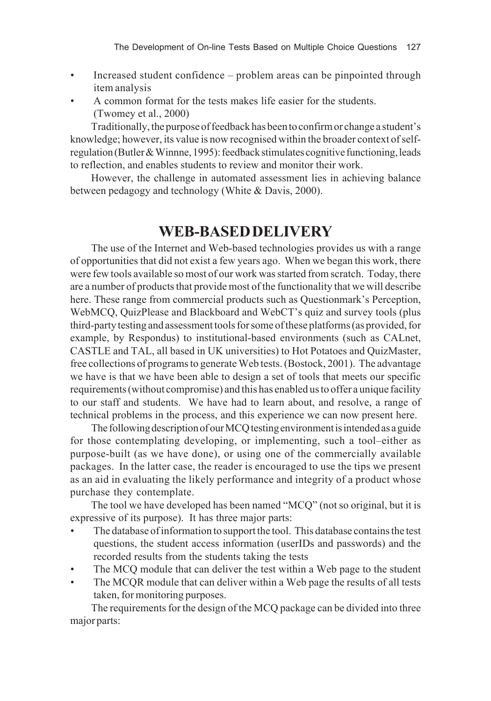- Increased student confidence problem areas can be pinpointed through item analysis
- A common format for the tests makes life easier for the students. (Twomey et al., 2000)

Traditionally, the purpose of feedback has been to confirm or change a student's knowledge; however, its value is now recognised within the broader context of selfregulation (Butler & Winnne, 1995): feedback stimulates cognitive functioning, leads to reflection, and enables students to review and monitor their work.

However, the challenge in automated assessment lies in achieving balance between pedagogy and technology (White & Davis, 2000).

# **WEB-BASED DELIVERY**

The use of the Internet and Web-based technologies provides us with a range of opportunities that did not exist a few years ago. When we began this work, there were few tools available so most of our work was started from scratch. Today, there are a number of products that provide most of the functionality that we will describe here. These range from commercial products such as Questionmark's Perception, WebMCQ, QuizPlease and Blackboard and WebCT's quiz and survey tools (plus third-party testing and assessment tools for some of these platforms (as provided, for example, by Respondus) to institutional-based environments (such as CALnet, CASTLE and TAL, all based in UK universities) to Hot Potatoes and QuizMaster, free collections of programs to generate Web tests. (Bostock, 2001). The advantage we have is that we have been able to design a set of tools that meets our specific requirements (without compromise) and this has enabled us to offer a unique facility to our staff and students. We have had to learn about, and resolve, a range of technical problems in the process, and this experience we can now present here.

The following description of our MCQ testing environment is intended as a guide for those contemplating developing, or implementing, such a tool–either as purpose-built (as we have done), or using one of the commercially available packages. In the latter case, the reader is encouraged to use the tips we present as an aid in evaluating the likely performance and integrity of a product whose purchase they contemplate.

The tool we have developed has been named "MCQ" (not so original, but it is expressive of its purpose). It has three major parts:

- The database of information to support the tool. This database contains the test questions, the student access information (userIDs and passwords) and the recorded results from the students taking the tests
- The MCQ module that can deliver the test within a Web page to the student
- The MCQR module that can deliver within a Web page the results of all tests taken, for monitoring purposes.

The requirements for the design of the MCQ package can be divided into three major parts: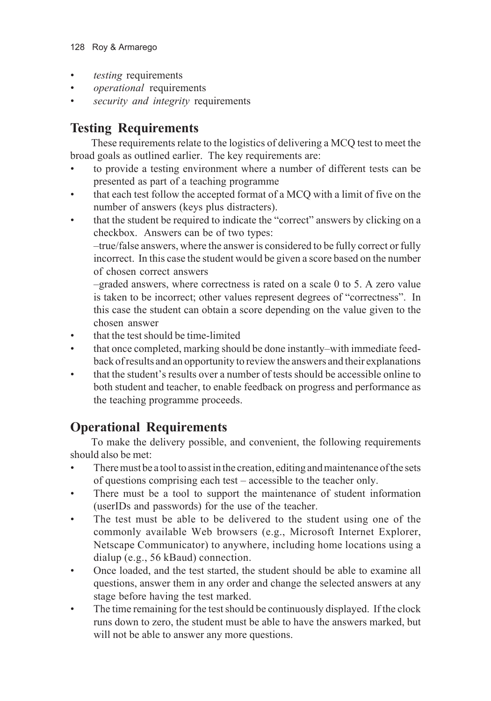- *testing* requirements
- *operational* requirements
- *security and integrity* requirements

# **Testing Requirements**

These requirements relate to the logistics of delivering a MCQ test to meet the broad goals as outlined earlier. The key requirements are:

- to provide a testing environment where a number of different tests can be presented as part of a teaching programme
- that each test follow the accepted format of a MCQ with a limit of five on the number of answers (keys plus distracters).
- that the student be required to indicate the "correct" answers by clicking on a checkbox. Answers can be of two types:

–true/false answers, where the answer is considered to be fully correct or fully incorrect. In this case the student would be given a score based on the number of chosen correct answers

–graded answers, where correctness is rated on a scale 0 to 5. A zero value is taken to be incorrect; other values represent degrees of "correctness". In this case the student can obtain a score depending on the value given to the chosen answer

- that the test should be time-limited
- that once completed, marking should be done instantly–with immediate feedback of results and an opportunity to review the answers and their explanations
- that the student's results over a number of tests should be accessible online to both student and teacher, to enable feedback on progress and performance as the teaching programme proceeds.

# **Operational Requirements**

To make the delivery possible, and convenient, the following requirements should also be met:

- There must be a tool to assist in the creation, editing and maintenance of the sets of questions comprising each test – accessible to the teacher only.
- There must be a tool to support the maintenance of student information (userIDs and passwords) for the use of the teacher.
- The test must be able to be delivered to the student using one of the commonly available Web browsers (e.g., Microsoft Internet Explorer, Netscape Communicator) to anywhere, including home locations using a dialup (e.g., 56 kBaud) connection.
- Once loaded, and the test started, the student should be able to examine all questions, answer them in any order and change the selected answers at any stage before having the test marked.
- The time remaining for the test should be continuously displayed. If the clock runs down to zero, the student must be able to have the answers marked, but will not be able to answer any more questions.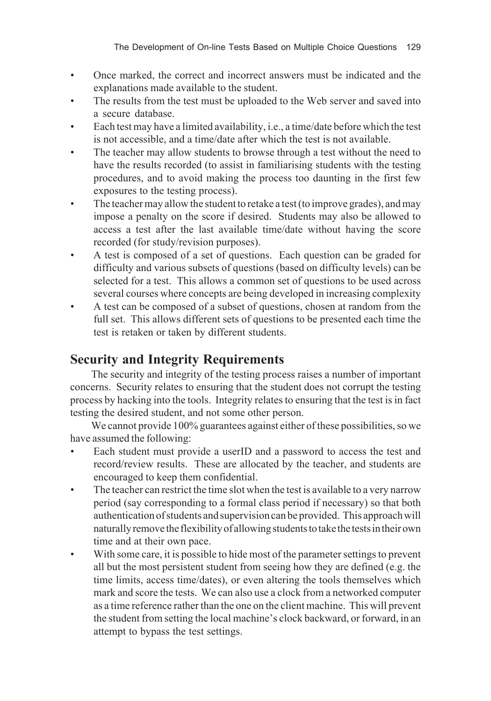- Once marked, the correct and incorrect answers must be indicated and the explanations made available to the student.
- The results from the test must be uploaded to the Web server and saved into a secure database.
- Each test may have a limited availability, i.e., a time/date before which the test is not accessible, and a time/date after which the test is not available.
- The teacher may allow students to browse through a test without the need to have the results recorded (to assist in familiarising students with the testing procedures, and to avoid making the process too daunting in the first few exposures to the testing process).
- The teacher may allow the student to retake a test (to improve grades), and may impose a penalty on the score if desired. Students may also be allowed to access a test after the last available time/date without having the score recorded (for study/revision purposes).
- A test is composed of a set of questions. Each question can be graded for difficulty and various subsets of questions (based on difficulty levels) can be selected for a test. This allows a common set of questions to be used across several courses where concepts are being developed in increasing complexity
- A test can be composed of a subset of questions, chosen at random from the full set. This allows different sets of questions to be presented each time the test is retaken or taken by different students.

#### **Security and Integrity Requirements**

The security and integrity of the testing process raises a number of important concerns. Security relates to ensuring that the student does not corrupt the testing process by hacking into the tools. Integrity relates to ensuring that the test is in fact testing the desired student, and not some other person.

We cannot provide 100% guarantees against either of these possibilities, so we have assumed the following:

- Each student must provide a userID and a password to access the test and record/review results. These are allocated by the teacher, and students are encouraged to keep them confidential.
- The teacher can restrict the time slot when the test is available to a very narrow period (say corresponding to a formal class period if necessary) so that both authentication of students and supervision can be provided. This approach will naturally remove the flexibility of allowing students to take the tests in their own time and at their own pace.
- With some care, it is possible to hide most of the parameter settings to prevent all but the most persistent student from seeing how they are defined (e.g. the time limits, access time/dates), or even altering the tools themselves which mark and score the tests. We can also use a clock from a networked computer as a time reference rather than the one on the client machine. This will prevent the student from setting the local machine's clock backward, or forward, in an attempt to bypass the test settings.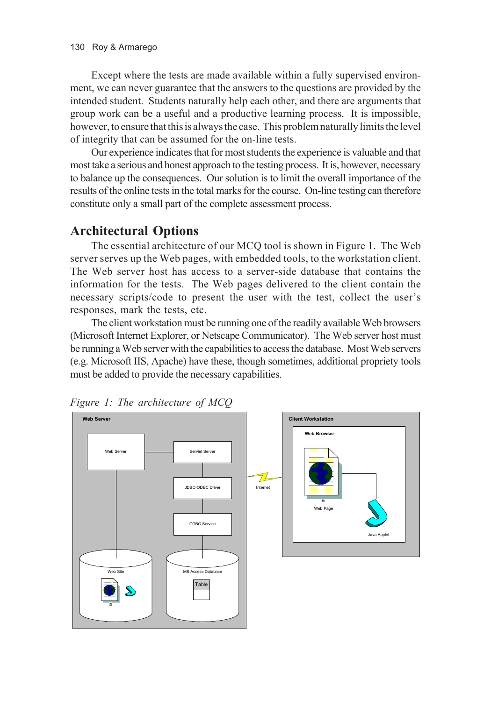Except where the tests are made available within a fully supervised environment, we can never guarantee that the answers to the questions are provided by the intended student. Students naturally help each other, and there are arguments that group work can be a useful and a productive learning process. It is impossible, however, to ensure that this is always the case. This problem naturally limits the level of integrity that can be assumed for the on-line tests.

Our experience indicates that for most students the experience is valuable and that most take a serious and honest approach to the testing process. It is, however, necessary to balance up the consequences. Our solution is to limit the overall importance of the results of the online tests in the total marks for the course. On-line testing can therefore constitute only a small part of the complete assessment process.

## **Architectural Options**

The essential architecture of our MCQ tool is shown in Figure 1. The Web server serves up the Web pages, with embedded tools, to the workstation client. The Web server host has access to a server-side database that contains the information for the tests. The Web pages delivered to the client contain the necessary scripts/code to present the user with the test, collect the user's responses, mark the tests, etc.

The client workstation must be running one of the readily available Web browsers (Microsoft Internet Explorer, or Netscape Communicator). The Web server host must be running a Web server with the capabilities to access the database. Most Web servers (e.g. Microsoft IIS, Apache) have these, though sometimes, additional propriety tools must be added to provide the necessary capabilities.



*Figure 1: The architecture of MCQ*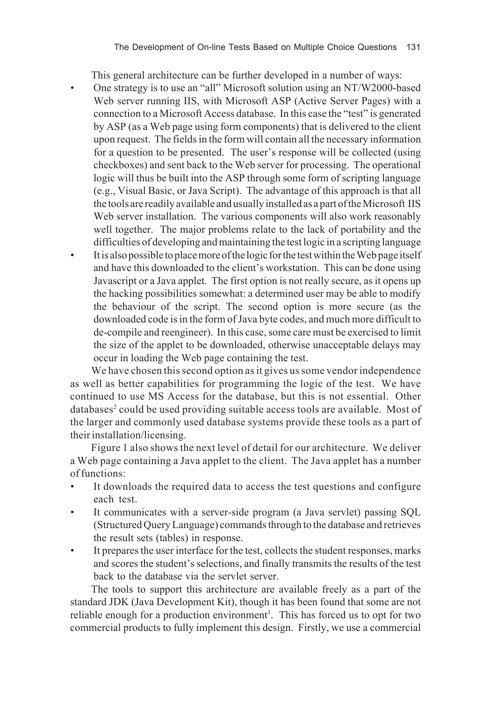This general architecture can be further developed in a number of ways:

- One strategy is to use an "all" Microsoft solution using an NT/W2000-based Web server running IIS, with Microsoft ASP (Active Server Pages) with a connection to a Microsoft Access database. In this case the "test" is generated by ASP (as a Web page using form components) that is delivered to the client upon request. The fields in the form will contain all the necessary information for a question to be presented. The user's response will be collected (using checkboxes) and sent back to the Web server for processing. The operational logic will thus be built into the ASP through some form of scripting language (e.g., Visual Basic, or Java Script). The advantage of this approach is that all the tools are readily available and usually installed as a part of the Microsoft IIS Web server installation. The various components will also work reasonably well together. The major problems relate to the lack of portability and the difficulties of developing and maintaining the test logic in a scripting language
- It is also possible to place more of the logic for the test within the Web page itself and have this downloaded to the client's workstation. This can be done using Javascript or a Java applet. The first option is not really secure, as it opens up the hacking possibilities somewhat: a determined user may be able to modify the behaviour of the script. The second option is more secure (as the downloaded code is in the form of Java byte codes, and much more difficult to de-compile and reengineer). In this case, some care must be exercised to limit the size of the applet to be downloaded, otherwise unacceptable delays may occur in loading the Web page containing the test.

We have chosen this second option as it gives us some vendor independence as well as better capabilities for programming the logic of the test. We have continued to use MS Access for the database, but this is not essential. Other databases<sup>2</sup> could be used providing suitable access tools are available. Most of the larger and commonly used database systems provide these tools as a part of their installation/licensing.

Figure 1 also shows the next level of detail for our architecture. We deliver a Web page containing a Java applet to the client. The Java applet has a number of functions:

- It downloads the required data to access the test questions and configure each test.
- It communicates with a server-side program (a Java servlet) passing SQL (Structured Query Language) commands through to the database and retrieves the result sets (tables) in response.
- It prepares the user interface for the test, collects the student responses, marks and scores the student's selections, and finally transmits the results of the test back to the database via the servlet server.

The tools to support this architecture are available freely as a part of the standard JDK (Java Development Kit), though it has been found that some are not reliable enough for a production environment<sup>3</sup>. This has forced us to opt for two commercial products to fully implement this design. Firstly, we use a commercial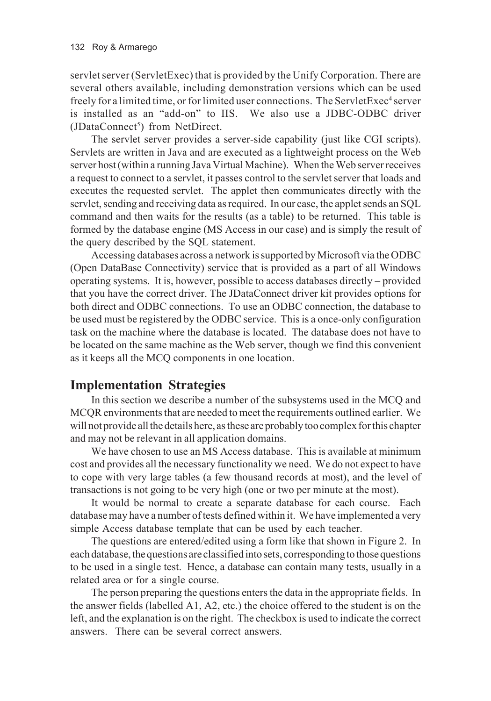servlet server (ServletExec) that is provided by the Unify Corporation. There are several others available, including demonstration versions which can be used freely for a limited time, or for limited user connections. The ServletExec<sup>4</sup> server is installed as an "add-on" to IIS. We also use a JDBC-ODBC driver (JDataConnect<sup>5</sup>) from NetDirect.

The servlet server provides a server-side capability (just like CGI scripts). Servlets are written in Java and are executed as a lightweight process on the Web server host (within a running Java Virtual Machine). When the Web server receives a request to connect to a servlet, it passes control to the servlet server that loads and executes the requested servlet. The applet then communicates directly with the servlet, sending and receiving data as required. In our case, the applet sends an SQL command and then waits for the results (as a table) to be returned. This table is formed by the database engine (MS Access in our case) and is simply the result of the query described by the SQL statement.

Accessing databases across a network is supported by Microsoft via the ODBC (Open DataBase Connectivity) service that is provided as a part of all Windows operating systems. It is, however, possible to access databases directly – provided that you have the correct driver. The JDataConnect driver kit provides options for both direct and ODBC connections. To use an ODBC connection, the database to be used must be registered by the ODBC service. This is a once-only configuration task on the machine where the database is located. The database does not have to be located on the same machine as the Web server, though we find this convenient as it keeps all the MCQ components in one location.

#### **Implementation Strategies**

In this section we describe a number of the subsystems used in the MCQ and MCQR environments that are needed to meet the requirements outlined earlier. We will not provide all the details here, as these are probably too complex for this chapter and may not be relevant in all application domains.

We have chosen to use an MS Access database. This is available at minimum cost and provides all the necessary functionality we need. We do not expect to have to cope with very large tables (a few thousand records at most), and the level of transactions is not going to be very high (one or two per minute at the most).

It would be normal to create a separate database for each course. Each database may have a number of tests defined within it. We have implemented a very simple Access database template that can be used by each teacher.

The questions are entered/edited using a form like that shown in Figure 2. In each database, the questions are classified into sets, corresponding to those questions to be used in a single test. Hence, a database can contain many tests, usually in a related area or for a single course.

The person preparing the questions enters the data in the appropriate fields. In the answer fields (labelled A1, A2, etc.) the choice offered to the student is on the left, and the explanation is on the right. The checkbox is used to indicate the correct answers. There can be several correct answers.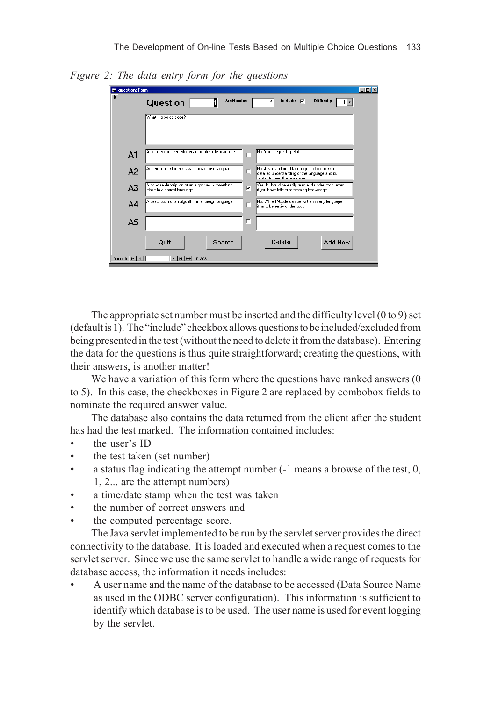*Figure 2: The data entry form for the questions*

| <b>S</b> questions Form<br>$-10$ : |                |                                                                                                                                                                                                                 |  |  |  |
|------------------------------------|----------------|-----------------------------------------------------------------------------------------------------------------------------------------------------------------------------------------------------------------|--|--|--|
| Þ                                  |                | SetNumber<br>Include $\nabla$<br><b>Difficulty</b><br>Question<br>$\bullet$                                                                                                                                     |  |  |  |
|                                    |                | What is pseudo code?                                                                                                                                                                                            |  |  |  |
|                                    | A <sub>1</sub> | No. You are just hopeful!<br>A number you feed into an automatic teller machine.<br>П                                                                                                                           |  |  |  |
|                                    | A2             | Another name for the Java programming language.<br>No. Java is a formal language and requires a<br>$\Box$<br>detailed understanding of the language and its<br>suntax to read the language                      |  |  |  |
|                                    | A3             | Yes. It should be easily read and understood, even<br>A concise description of an algorithm in something<br>$\overline{\mathbf{v}}$<br>if you have little programming knowledge.<br>close to a normal language. |  |  |  |
|                                    | A4             | No. While P-Code can be written in any language,<br>A description of an algorithm in a foreign language.<br>г<br>it must be easily understood.                                                                  |  |  |  |
|                                    | A <sub>5</sub> | П                                                                                                                                                                                                               |  |  |  |
|                                    |                | Delete<br>Add New<br>Quit<br>Search                                                                                                                                                                             |  |  |  |
|                                    | Record: 14     | $1 \rightarrow  H $ $\rightarrow$ of 208                                                                                                                                                                        |  |  |  |

The appropriate set number must be inserted and the difficulty level (0 to 9) set (default is 1). The "include" checkbox allows questions to be included/excluded from being presented in the test (without the need to delete it from the database). Entering the data for the questions is thus quite straightforward; creating the questions, with their answers, is another matter!

We have a variation of this form where the questions have ranked answers (0 to 5). In this case, the checkboxes in Figure 2 are replaced by combobox fields to nominate the required answer value.

The database also contains the data returned from the client after the student has had the test marked. The information contained includes:

- the user's ID
- the test taken (set number)
- a status flag indicating the attempt number  $(-1)$  means a browse of the test, 0, 1, 2... are the attempt numbers)
- a time/date stamp when the test was taken
- the number of correct answers and
- the computed percentage score.

The Java servlet implemented to be run by the servlet server provides the direct connectivity to the database. It is loaded and executed when a request comes to the servlet server. Since we use the same servlet to handle a wide range of requests for database access, the information it needs includes:

• A user name and the name of the database to be accessed (Data Source Name as used in the ODBC server configuration). This information is sufficient to identify which database is to be used. The user name is used for event logging by the servlet.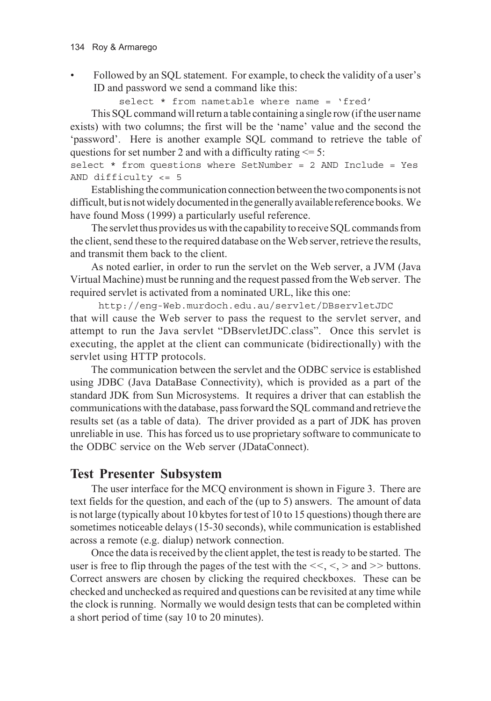• Followed by an SQL statement. For example, to check the validity of a user's ID and password we send a command like this:

select \* from nametable where name = 'fred'

This SQL command will return a table containing a single row (if the user name exists) with two columns; the first will be the 'name' value and the second the 'password'. Here is another example SQL command to retrieve the table of questions for set number 2 and with a difficulty rating  $\leq 5$ :

select \* from questions where SetNumber = 2 AND Include = Yes AND difficulty <= 5

Establishing the communication connection between the two components is not difficult, but is not widely documented in the generally available reference books. We have found Moss (1999) a particularly useful reference.

The servlet thus provides us with the capability to receive SQL commands from the client, send these to the required database on the Web server, retrieve the results, and transmit them back to the client.

As noted earlier, in order to run the servlet on the Web server, a JVM (Java Virtual Machine) must be running and the request passed from the Web server. The required servlet is activated from a nominated URL, like this one:

http://eng-Web.murdoch.edu.au/servlet/DBservletJDC that will cause the Web server to pass the request to the servlet server, and attempt to run the Java servlet "DBservletJDC.class". Once this servlet is executing, the applet at the client can communicate (bidirectionally) with the servlet using HTTP protocols.

The communication between the servlet and the ODBC service is established using JDBC (Java DataBase Connectivity), which is provided as a part of the standard JDK from Sun Microsystems. It requires a driver that can establish the communications with the database, pass forward the SQL command and retrieve the results set (as a table of data). The driver provided as a part of JDK has proven unreliable in use. This has forced us to use proprietary software to communicate to the ODBC service on the Web server (JDataConnect).

#### **Test Presenter Subsystem**

The user interface for the MCQ environment is shown in Figure 3. There are text fields for the question, and each of the (up to 5) answers. The amount of data is not large (typically about 10 kbytes for test of 10 to 15 questions) though there are sometimes noticeable delays (15-30 seconds), while communication is established across a remote (e.g. dialup) network connection.

Once the data is received by the client applet, the test is ready to be started. The user is free to flip through the pages of the test with the  $<<, <$  and  $>>$  buttons. Correct answers are chosen by clicking the required checkboxes. These can be checked and unchecked as required and questions can be revisited at any time while the clock is running. Normally we would design tests that can be completed within a short period of time (say 10 to 20 minutes).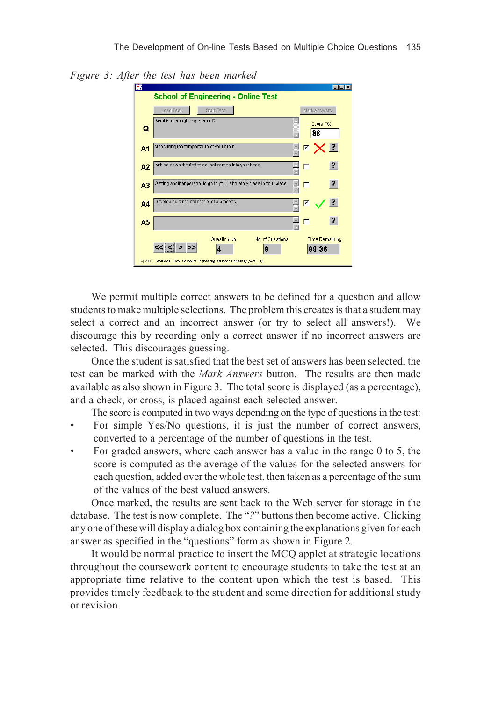

*Figure 3: After the test has been marked*

We permit multiple correct answers to be defined for a question and allow students to make multiple selections. The problem this creates is that a student may select a correct and an incorrect answer (or try to select all answers!). We discourage this by recording only a correct answer if no incorrect answers are selected. This discourages guessing.

Once the student is satisfied that the best set of answers has been selected, the test can be marked with the *Mark Answers* button. The results are then made available as also shown in Figure 3. The total score is displayed (as a percentage), and a check, or cross, is placed against each selected answer.

The score is computed in two ways depending on the type of questions in the test:

- For simple Yes/No questions, it is just the number of correct answers, converted to a percentage of the number of questions in the test.
- For graded answers, where each answer has a value in the range 0 to 5, the score is computed as the average of the values for the selected answers for each question, added over the whole test, then taken as a percentage of the sum of the values of the best valued answers.

Once marked, the results are sent back to the Web server for storage in the database. The test is now complete. The "*?*" buttons then become active. Clicking any one of these will display a dialog box containing the explanations given for each answer as specified in the "questions" form as shown in Figure 2.

It would be normal practice to insert the MCQ applet at strategic locations throughout the coursework content to encourage students to take the test at an appropriate time relative to the content upon which the test is based. This provides timely feedback to the student and some direction for additional study or revision.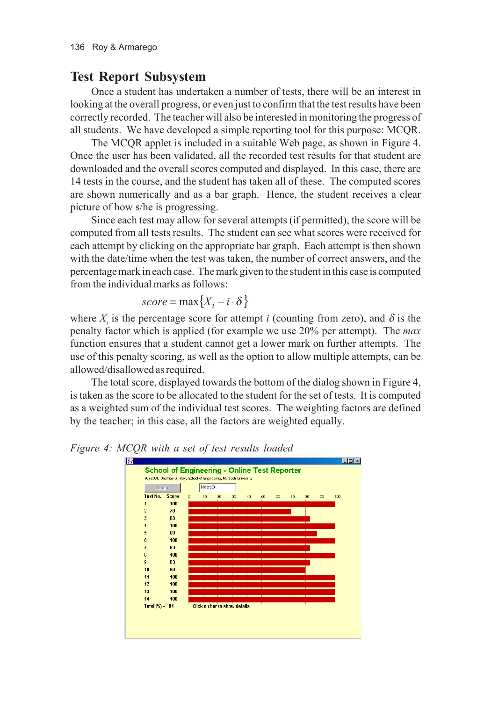#### **Test Report Subsystem**

Once a student has undertaken a number of tests, there will be an interest in looking at the overall progress, or even just to confirm that the test results have been correctly recorded. The teacher will also be interested in monitoring the progress of all students. We have developed a simple reporting tool for this purpose: MCQR.

The MCQR applet is included in a suitable Web page, as shown in Figure 4. Once the user has been validated, all the recorded test results for that student are downloaded and the overall scores computed and displayed. In this case, there are 14 tests in the course, and the student has taken all of these. The computed scores are shown numerically and as a bar graph. Hence, the student receives a clear picture of how s/he is progressing.

Since each test may allow for several attempts (if permitted), the score will be computed from all tests results. The student can see what scores were received for each attempt by clicking on the appropriate bar graph. Each attempt is then shown with the date/time when the test was taken, the number of correct answers, and the percentage mark in each case. The mark given to the student in this case is computed from the individual marks as follows:

$$
score = \max\{X_i - i \cdot \delta\}
$$

where  $X_i$  is the percentage score for attempt *i* (counting from zero), and  $\delta$  is the penalty factor which is applied (for example we use 20% per attempt). The *max* function ensures that a student cannot get a lower mark on further attempts. The use of this penalty scoring, as well as the option to allow multiple attempts, can be allowed/disallowed as required.

The total score, displayed towards the bottom of the dialog shown in Figure 4, is taken as the score to be allocated to the student for the set of tests. It is computed as a weighted sum of the individual test scores. The weighting factors are defined by the teacher; in this case, all the factors are weighted equally.



*Figure 4: MCQR with a set of test results loaded*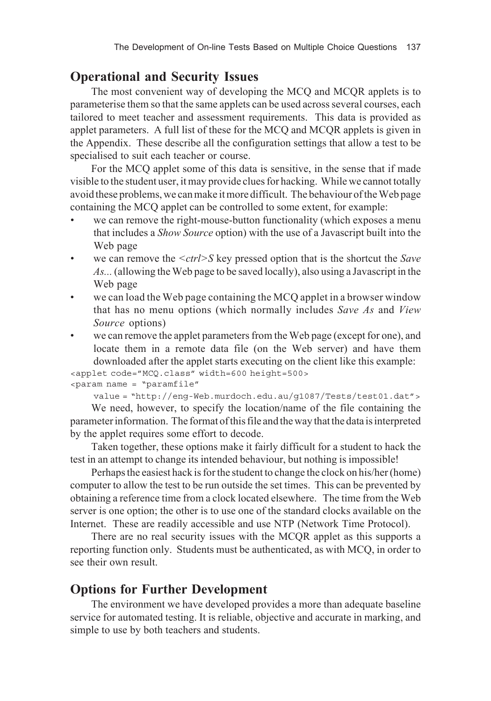#### **Operational and Security Issues**

The most convenient way of developing the MCQ and MCQR applets is to parameterise them so that the same applets can be used across several courses, each tailored to meet teacher and assessment requirements. This data is provided as applet parameters. A full list of these for the MCQ and MCQR applets is given in the Appendix. These describe all the configuration settings that allow a test to be specialised to suit each teacher or course.

For the MCQ applet some of this data is sensitive, in the sense that if made visible to the student user, it may provide clues for hacking. While we cannot totally avoid these problems, we can make it more difficult. The behaviour of the Web page containing the MCQ applet can be controlled to some extent, for example:

- we can remove the right-mouse-button functionality (which exposes a menu that includes a *Show Source* option) with the use of a Javascript built into the Web page
- we can remove the *<ctrl>S* key pressed option that is the shortcut the *Save As...* (allowing the Web page to be saved locally), also using a Javascript in the Web page
- we can load the Web page containing the MCQ applet in a browser window that has no menu options (which normally includes *Save As* and *View Source* options)
- we can remove the applet parameters from the Web page (except for one), and locate them in a remote data file (on the Web server) and have them downloaded after the applet starts executing on the client like this example: <applet code="MCQ.class" width=600 height=500>

```
<param name = "paramfile"
```
value = "http://eng-Web.murdoch.edu.au/g1087/Tests/test01.dat">

We need, however, to specify the location/name of the file containing the parameter information. The format of this file and the way that the data is interpreted by the applet requires some effort to decode.

Taken together, these options make it fairly difficult for a student to hack the test in an attempt to change its intended behaviour, but nothing is impossible!

Perhaps the easiest hack is for the student to change the clock on his/her (home) computer to allow the test to be run outside the set times. This can be prevented by obtaining a reference time from a clock located elsewhere. The time from the Web server is one option; the other is to use one of the standard clocks available on the Internet. These are readily accessible and use NTP (Network Time Protocol).

There are no real security issues with the MCQR applet as this supports a reporting function only. Students must be authenticated, as with MCQ, in order to see their own result.

#### **Options for Further Development**

The environment we have developed provides a more than adequate baseline service for automated testing. It is reliable, objective and accurate in marking, and simple to use by both teachers and students.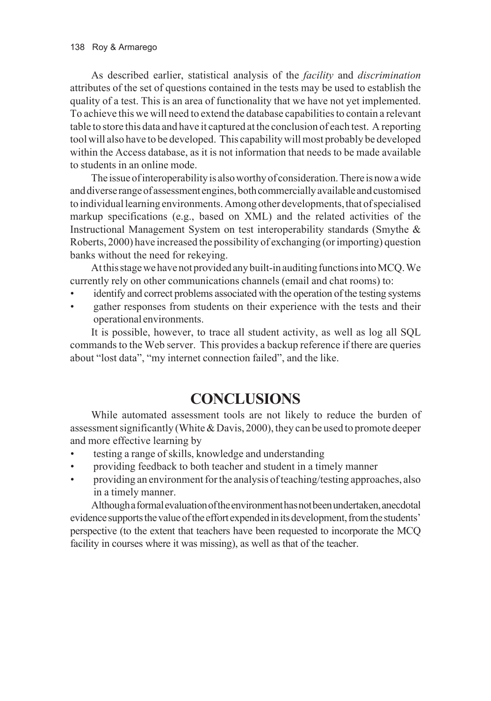As described earlier, statistical analysis of the *facility* and *discrimination* attributes of the set of questions contained in the tests may be used to establish the quality of a test. This is an area of functionality that we have not yet implemented. To achieve this we will need to extend the database capabilities to contain a relevant table to store this data and have it captured at the conclusion of each test. A reporting tool will also have to be developed. This capability will most probably be developed within the Access database, as it is not information that needs to be made available to students in an online mode.

The issue of interoperability is also worthy of consideration. There is now a wide and diverse range of assessment engines, both commercially available and customised to individual learning environments. Among other developments, that of specialised markup specifications (e.g., based on XML) and the related activities of the Instructional Management System on test interoperability standards (Smythe & Roberts, 2000) have increased the possibility of exchanging (or importing) question banks without the need for rekeying.

At this stage we have not provided any built-in auditing functions into MCQ. We currently rely on other communications channels (email and chat rooms) to:

- identify and correct problems associated with the operation of the testing systems
- gather responses from students on their experience with the tests and their operational environments.

It is possible, however, to trace all student activity, as well as log all SQL commands to the Web server. This provides a backup reference if there are queries about "lost data", "my internet connection failed", and the like.

# **CONCLUSIONS**

While automated assessment tools are not likely to reduce the burden of assessment significantly (White  $&$  Davis, 2000), they can be used to promote deeper and more effective learning by

- testing a range of skills, knowledge and understanding
- providing feedback to both teacher and student in a timely manner
- providing an environment for the analysis of teaching/testing approaches, also in a timely manner.

Although a formal evaluation of the environment has not been undertaken, anecdotal evidence supports the value of the effort expended in its development, from the students' perspective (to the extent that teachers have been requested to incorporate the MCQ facility in courses where it was missing), as well as that of the teacher.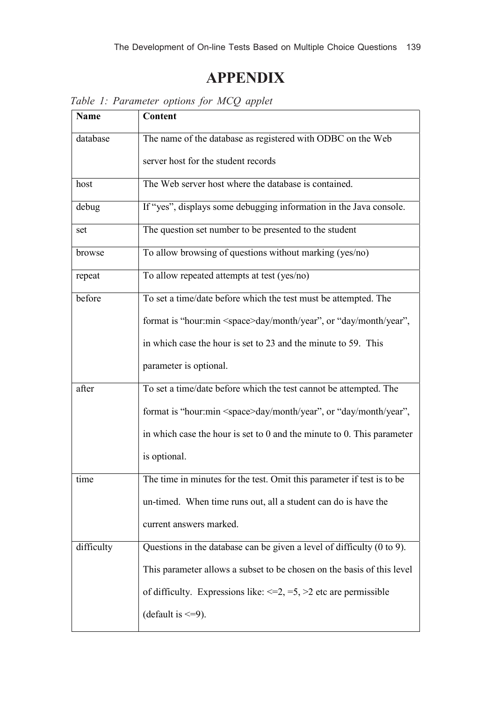# **APPENDIX**

| Name       | Content                                                                     |
|------------|-----------------------------------------------------------------------------|
| database   | The name of the database as registered with ODBC on the Web                 |
|            | server host for the student records                                         |
| host       | The Web server host where the database is contained.                        |
| debug      | If "yes", displays some debugging information in the Java console.          |
| set        | The question set number to be presented to the student                      |
| browse     | To allow browsing of questions without marking (yes/no)                     |
| repeat     | To allow repeated attempts at test (yes/no)                                 |
| before     | To set a time/date before which the test must be attempted. The             |
|            | format is "hour:min <space>day/month/year", or "day/month/year",</space>    |
|            | in which case the hour is set to 23 and the minute to 59. This              |
|            | parameter is optional.                                                      |
| after      | To set a time/date before which the test cannot be attempted. The           |
|            | format is "hour:min <space>day/month/year", or "day/month/year",</space>    |
|            | in which case the hour is set to $0$ and the minute to $0$ . This parameter |
|            | is optional.                                                                |
| time       | The time in minutes for the test. Omit this parameter if test is to be      |
|            | un-timed. When time runs out, all a student can do is have the              |
|            | current answers marked.                                                     |
| difficulty | Questions in the database can be given a level of difficulty (0 to 9).      |
|            | This parameter allows a subset to be chosen on the basis of this level      |
|            | of difficulty. Expressions like: $\leq$ = 5, > 2 etc are permissible        |
|            | (default is $\leq$ =9).                                                     |

*Table 1: Parameter options for MCQ applet*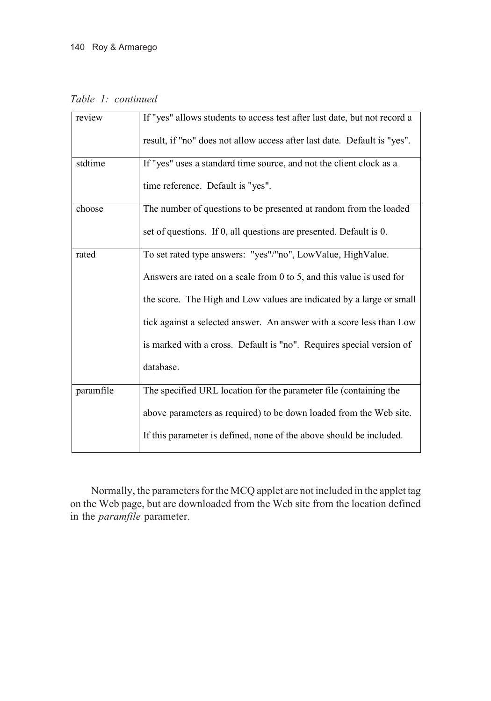*Table 1: continued*

| If "yes" allows students to access test after last date, but not record a |
|---------------------------------------------------------------------------|
| result, if "no" does not allow access after last date. Default is "yes".  |
|                                                                           |
|                                                                           |
| The number of questions to be presented at random from the loaded         |
|                                                                           |
|                                                                           |
| Answers are rated on a scale from $0$ to $5$ , and this value is used for |
| the score. The High and Low values are indicated by a large or small      |
| tick against a selected answer. An answer with a score less than Low      |
| is marked with a cross. Default is "no". Requires special version of      |
|                                                                           |
|                                                                           |
| above parameters as required) to be down loaded from the Web site.        |
|                                                                           |
|                                                                           |

Normally, the parameters for the MCQ applet are not included in the applet tag on the Web page, but are downloaded from the Web site from the location defined in the *paramfile* parameter.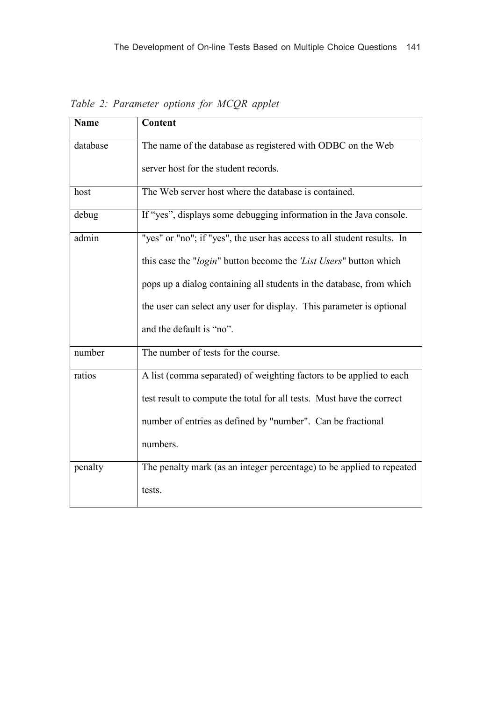| Name     | Content                                                                 |
|----------|-------------------------------------------------------------------------|
| database | The name of the database as registered with ODBC on the Web             |
|          | server host for the student records.                                    |
| host     | The Web server host where the database is contained.                    |
| debug    | If "yes", displays some debugging information in the Java console.      |
| admin    | "yes" or "no"; if "yes", the user has access to all student results. In |
|          | this case the "login" button become the 'List Users" button which       |
|          | pops up a dialog containing all students in the database, from which    |
|          | the user can select any user for display. This parameter is optional    |
|          | and the default is "no".                                                |
| number   | The number of tests for the course.                                     |
| ratios   | A list (comma separated) of weighting factors to be applied to each     |
|          | test result to compute the total for all tests. Must have the correct   |
|          | number of entries as defined by "number". Can be fractional             |
|          | numbers.                                                                |
| penalty  | The penalty mark (as an integer percentage) to be applied to repeated   |
|          | tests.                                                                  |

*Table 2: Parameter options for MCQR applet*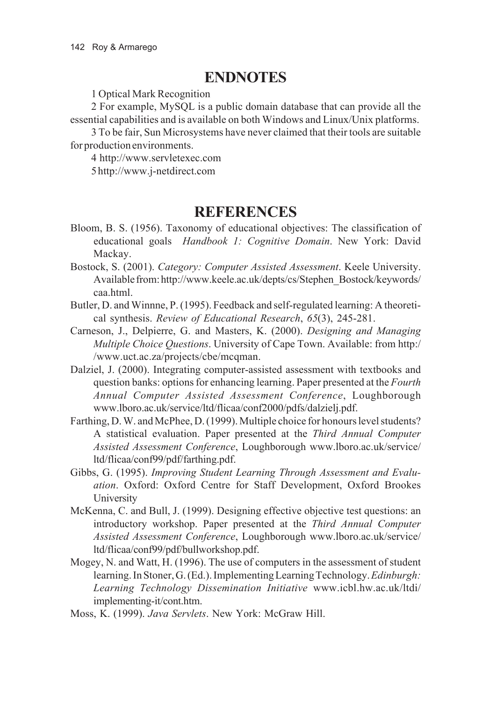# **ENDNOTES**

1 Optical Mark Recognition

2 For example, MySQL is a public domain database that can provide all the essential capabilities and is available on both Windows and Linux/Unix platforms.

3 To be fair, Sun Microsystems have never claimed that their tools are suitable for production environments.

4 http://www.servletexec.com 5 http://www.j-netdirect.com

# **REFERENCES**

- Bloom, B. S. (1956). Taxonomy of educational objectives: The classification of educational goals *Handbook 1: Cognitive Domain*. New York: David Mackay.
- Bostock, S. (2001). *Category: Computer Assisted Assessment*. Keele University. Available from: http://www.keele.ac.uk/depts/cs/Stephen\_Bostock/keywords/ caa.html.
- Butler, D. and Winnne, P. (1995). Feedback and self-regulated learning: A theoretical synthesis. *Review of Educational Research*, *65*(3), 245-281.
- Carneson, J., Delpierre, G. and Masters, K. (2000). *Designing and Managing Multiple Choice Questions*. University of Cape Town. Available: from http:/ /www.uct.ac.za/projects/cbe/mcqman.
- Dalziel, J. (2000). Integrating computer-assisted assessment with textbooks and question banks: options for enhancing learning. Paper presented at the *Fourth Annual Computer Assisted Assessment Conference*, Loughborough www.lboro.ac.uk/service/ltd/flicaa/conf2000/pdfs/dalzielj.pdf.
- Farthing, D. W. and McPhee, D. (1999). Multiple choice for honours level students? A statistical evaluation. Paper presented at the *Third Annual Computer Assisted Assessment Conference*, Loughborough www.lboro.ac.uk/service/ ltd/flicaa/conf99/pdf/farthing.pdf.
- Gibbs, G. (1995). *Improving Student Learning Through Assessment and Evaluation*. Oxford: Oxford Centre for Staff Development, Oxford Brookes University
- McKenna, C. and Bull, J. (1999). Designing effective objective test questions: an introductory workshop. Paper presented at the *Third Annual Computer Assisted Assessment Conference*, Loughborough www.lboro.ac.uk/service/ ltd/flicaa/conf99/pdf/bullworkshop.pdf.
- Mogey, N. and Watt, H. (1996). The use of computers in the assessment of student learning. In Stoner, G. (Ed.). Implementing Learning Technology. *Edinburgh: Learning Technology Dissemination Initiative* www.icbl.hw.ac.uk/ltdi/ implementing-it/cont.htm.
- Moss, K. (1999). *Java Servlets*. New York: McGraw Hill.